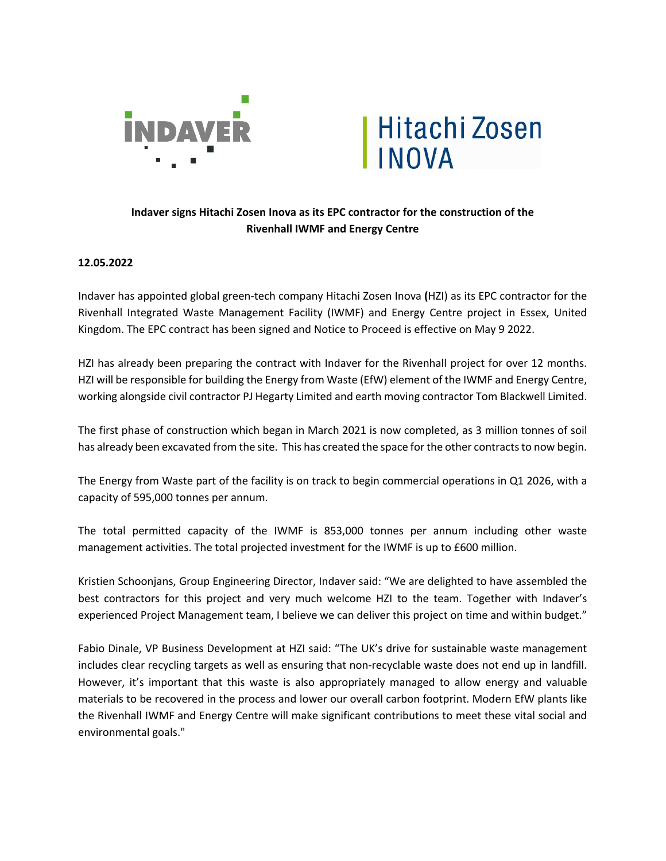



## **Indaver signs Hitachi Zosen Inova as its EPC contractor for the construction of the Rivenhall IWMF and Energy Centre**

## **12.05.2022**

Indaver has appointed global green-tech company Hitachi Zosen Inova **(**HZI) as its EPC contractor for the Rivenhall Integrated Waste Management Facility (IWMF) and Energy Centre project in Essex, United Kingdom. The EPC contract has been signed and Notice to Proceed is effective on May 9 2022.

HZI has already been preparing the contract with Indaver for the Rivenhall project for over 12 months. HZI will be responsible for building the Energy from Waste (EfW) element of the IWMF and Energy Centre, working alongside civil contractor PJ Hegarty Limited and earth moving contractor Tom Blackwell Limited.

The first phase of construction which began in March 2021 is now completed, as 3 million tonnes of soil has already been excavated from the site. This has created the space for the other contracts to now begin.

The Energy from Waste part of the facility is on track to begin commercial operations in Q1 2026, with a capacity of 595,000 tonnes per annum.

The total permitted capacity of the IWMF is 853,000 tonnes per annum including other waste management activities. The total projected investment for the IWMF is up to £600 million.

Kristien Schoonjans, Group Engineering Director, Indaver said: "We are delighted to have assembled the best contractors for this project and very much welcome HZI to the team. Together with Indaver's experienced Project Management team, I believe we can deliver this project on time and within budget."

Fabio Dinale, VP Business Development at HZI said: "The UK's drive for sustainable waste management includes clear recycling targets as well as ensuring that non-recyclable waste does not end up in landfill. However, it's important that this waste is also appropriately managed to allow energy and valuable materials to be recovered in the process and lower our overall carbon footprint. Modern EfW plants like the Rivenhall IWMF and Energy Centre will make significant contributions to meet these vital social and environmental goals."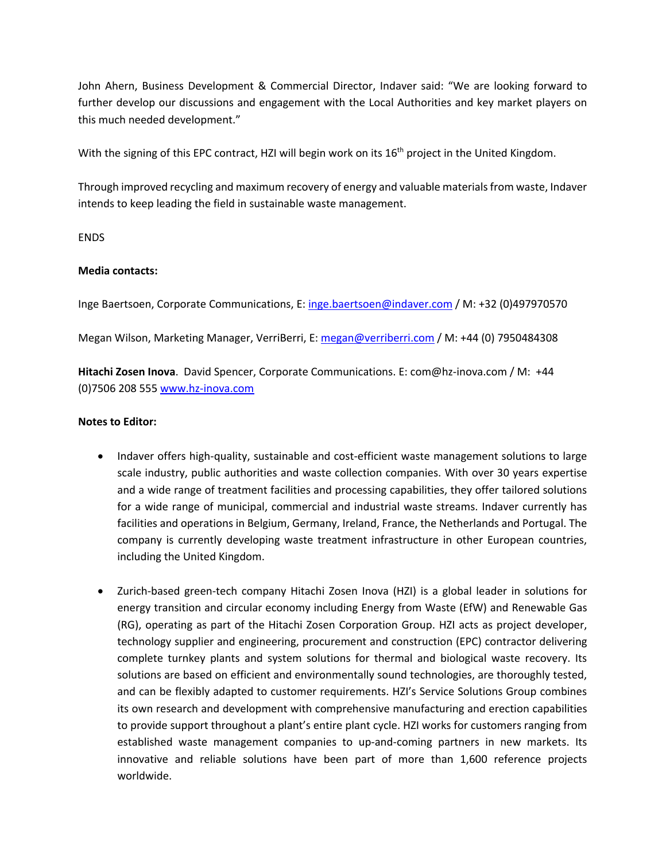John Ahern, Business Development & Commercial Director, Indaver said: "We are looking forward to further develop our discussions and engagement with the Local Authorities and key market players on this much needed development."

With the signing of this EPC contract, HZI will begin work on its 16<sup>th</sup> project in the United Kingdom.

Through improved recycling and maximum recovery of energy and valuable materials from waste, Indaver intends to keep leading the field in sustainable waste management.

ENDS

## **Media contacts:**

Inge Baertsoen, Corporate Communications, E: inge.baertsoen@indaver.com / M: +32 (0)497970570

Megan Wilson, Marketing Manager, VerriBerri, E: megan@verriberri.com / M: +44 (0) 7950484308

**Hitachi Zosen Inova**. David Spencer, Corporate Communications. E: com@hz-inova.com / M: +44 (0)7506 208 555 www.hz-inova.com

## **Notes to Editor:**

- Indaver offers high-quality, sustainable and cost-efficient waste management solutions to large scale industry, public authorities and waste collection companies. With over 30 years expertise and a wide range of treatment facilities and processing capabilities, they offer tailored solutions for a wide range of municipal, commercial and industrial waste streams. Indaver currently has facilities and operations in Belgium, Germany, Ireland, France, the Netherlands and Portugal. The company is currently developing waste treatment infrastructure in other European countries, including the United Kingdom.
- Zurich-based green-tech company Hitachi Zosen Inova (HZI) is a global leader in solutions for energy transition and circular economy including Energy from Waste (EfW) and Renewable Gas (RG), operating as part of the Hitachi Zosen Corporation Group. HZI acts as project developer, technology supplier and engineering, procurement and construction (EPC) contractor delivering complete turnkey plants and system solutions for thermal and biological waste recovery. Its solutions are based on efficient and environmentally sound technologies, are thoroughly tested, and can be flexibly adapted to customer requirements. HZI's Service Solutions Group combines its own research and development with comprehensive manufacturing and erection capabilities to provide support throughout a plant's entire plant cycle. HZI works for customers ranging from established waste management companies to up-and-coming partners in new markets. Its innovative and reliable solutions have been part of more than 1,600 reference projects worldwide.